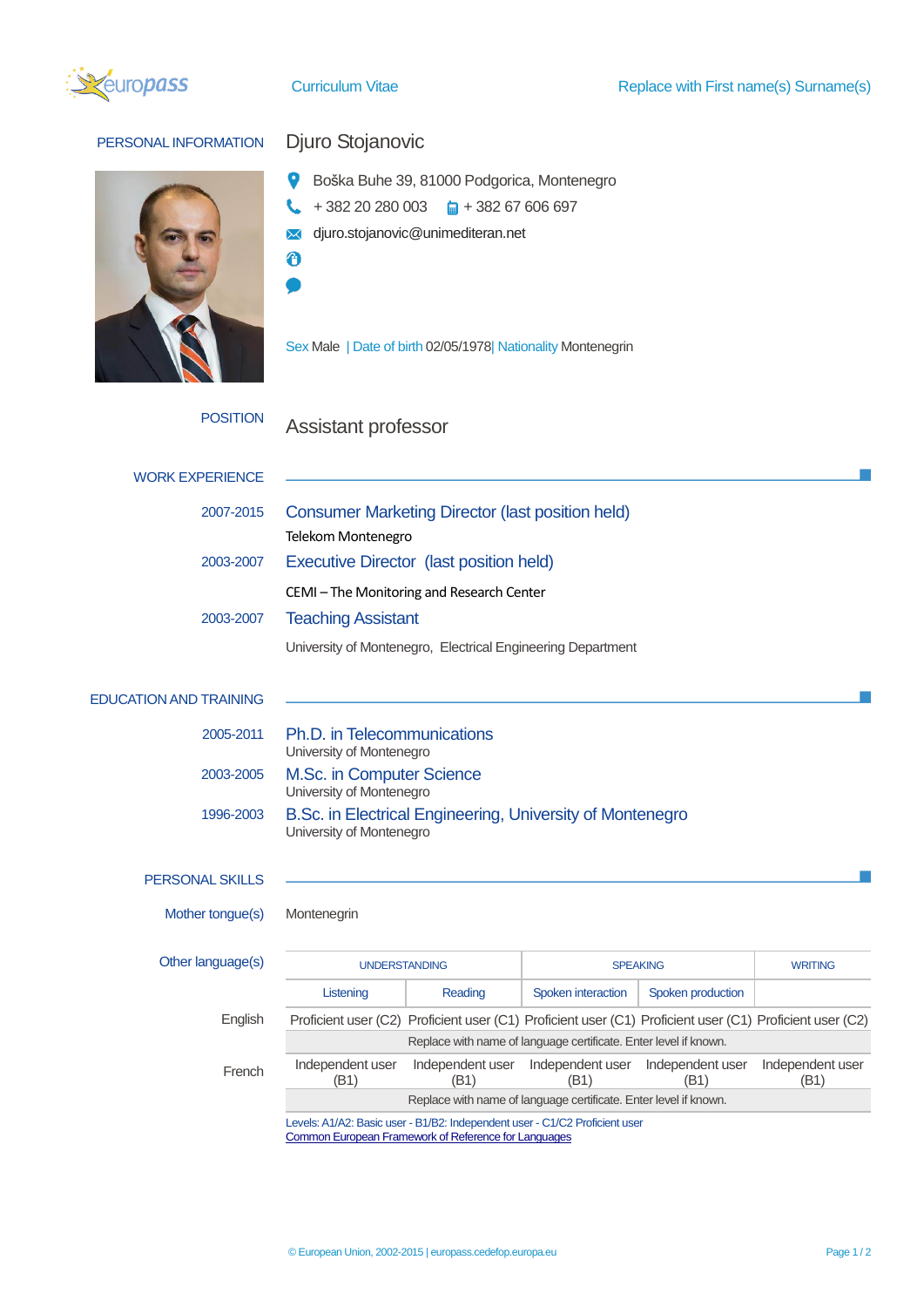

## PERSONAL INFORMATION Djuro Stojanovic



- Boška Buhe 39, 81000 Podgorica, Montenegro
- $+ 382 20 280 003$   $\qquad \qquad \Box$  + 382 67 606 697 L
- **M** djuro.stojanovic@unimediteran.net
- $\ddot{\boldsymbol{\theta}}$  $\bullet$

Sex Male | Date of birth 02/05/1978| Nationality Montenegrin

## POSITION Assistant professor

| <b>WORK EXPERIENCE</b>        |                                                                                       |                                                                                                          |                                           |                   |                          |  |  |  |
|-------------------------------|---------------------------------------------------------------------------------------|----------------------------------------------------------------------------------------------------------|-------------------------------------------|-------------------|--------------------------|--|--|--|
| 2007-2015                     | <b>Consumer Marketing Director (last position held)</b>                               |                                                                                                          |                                           |                   |                          |  |  |  |
| 2003-2007                     | Telekom Montenegro<br><b>Executive Director (last position held)</b>                  |                                                                                                          |                                           |                   |                          |  |  |  |
|                               |                                                                                       |                                                                                                          |                                           |                   |                          |  |  |  |
|                               | CEMI-The Monitoring and Research Center                                               |                                                                                                          |                                           |                   |                          |  |  |  |
|                               | 2003-2007<br><b>Teaching Assistant</b>                                                |                                                                                                          |                                           |                   |                          |  |  |  |
|                               | University of Montenegro, Electrical Engineering Department                           |                                                                                                          |                                           |                   |                          |  |  |  |
| <b>EDUCATION AND TRAINING</b> |                                                                                       |                                                                                                          |                                           |                   |                          |  |  |  |
| 2005-2011                     | Ph.D. in Telecommunications<br>University of Montenegro                               |                                                                                                          |                                           |                   |                          |  |  |  |
| 2003-2005                     | M.Sc. in Computer Science<br>University of Montenegro                                 |                                                                                                          |                                           |                   |                          |  |  |  |
| 1996-2003                     | B.Sc. in Electrical Engineering, University of Montenegro<br>University of Montenegro |                                                                                                          |                                           |                   |                          |  |  |  |
| <b>PERSONAL SKILLS</b>        |                                                                                       |                                                                                                          |                                           |                   |                          |  |  |  |
| Mother tongue(s)              | Montenegrin                                                                           |                                                                                                          |                                           |                   |                          |  |  |  |
| Other language(s)             | <b>UNDERSTANDING</b>                                                                  |                                                                                                          | <b>SPEAKING</b>                           |                   | <b>WRITING</b>           |  |  |  |
|                               | Listening                                                                             | Reading                                                                                                  | Spoken interaction                        | Spoken production |                          |  |  |  |
| English                       |                                                                                       | Proficient user (C2) Proficient user (C1) Proficient user (C1) Proficient user (C1) Proficient user (C2) |                                           |                   |                          |  |  |  |
|                               | Replace with name of language certificate. Enter level if known.                      |                                                                                                          |                                           |                   |                          |  |  |  |
| French                        | Independent user<br>(B1)                                                              | Independent user<br>(B1)                                                                                 | Independent user Independent user<br>(B1) | (B1)              | Independent user<br>(B1) |  |  |  |

Replace with name of language certificate. Enter level if known.

Levels: A1/A2: Basic user - B1/B2: Independent user - C1/C2 Proficient user [Common European Framework of Reference for Languages](http://europass.cedefop.europa.eu/en/resources/european-language-levels-cefr)